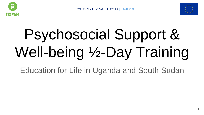



1

# Psychosocial Support & Well-being ½-Day Training

Education for Life in Uganda and South Sudan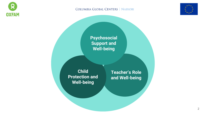

#### COLUMBIA GLOBAL CENTERS | NAIROBI



**Psychosocial Support and Well-being**

**Teacher's Role** 

**and Well-being**

**Child Protection and Well-being**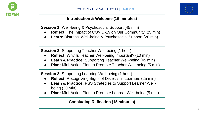



#### **Introduction & Welcome (15 minutes)**

**Session 1:** Well-being & Psychosocial Support (45 min)

- **Reflect:** The Impact of COVID-19 on Our Community (25 min)
- **Learn: Distress, Well-being & Psychosocial Support (20 min)**

**Session 2:** Supporting Teacher Well-being (1 hour)

- **Reflect:** Why Is Teacher Well-being Important? (10 min)
- **Learn & Practice:** Supporting Teacher Well-being (45 min)
- **Plan:** Mini-Action Plan to Promote Teacher Well-being (5 min)

**Session 3: Supporting Learning Well-being (1 hour)** 

- **Reflect:** Recognizing Signs of Distress in Learners (25 min)
- **Learn & Practice: PSS Strategies to Support Learner Well**being (30 min)
- **Plan:** Mini-Action Plan to Promote Learner Well-being (5 min)

**Concluding Reflection (15 minutes)**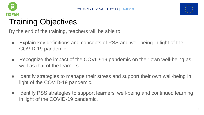



# Training Objectives

By the end of the training, teachers will be able to:

- Explain key definitions and concepts of PSS and well-being in light of the COVID-19 pandemic.
- Recognize the impact of the COVID-19 pandemic on their own well-being as well as that of the learners.
- Identify strategies to manage their stress and support their own well-being in light of the COVID-19 pandemic.
- Identify PSS strategies to support learners' well-being and continued learning in light of the COVID-19 pandemic.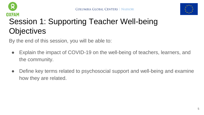



## Session 1: Supporting Teacher Well-being **Objectives**

By the end of this session, you will be able to:

- Explain the impact of COVID-19 on the well-being of teachers, learners, and the community.
- Define key terms related to psychosocial support and well-being and examine how they are related.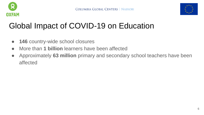



## Global Impact of COVID-19 on Education

- **146** country-wide school closures
- More than **1 billion** learners have been affected
- Approximately **63 million** primary and secondary school teachers have been affected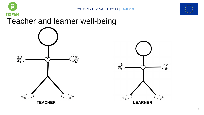



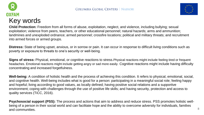



**Child Protection:** Freedom from all forms of abuse, exploitation, neglect, and violence, including bullying; sexual exploitation; violence from peers, teachers, or other educational personnel; natural hazards; arms and ammunition; landmines and unexploded ordnance; armed personnel; crossfire locations; political and military threats; and recruitment into armed forces or armed groups.

**Distress:** State of being upset, anxious, or in sorrow or pain. It can occur in response to difficult living conditions such as poverty or exposure to threats to one's security or well-being.

**Signs of stress:** Physical, emotional, or cognitive reactions to stress. Physical reactions might include feeling tired or frequent headaches. Emotional reactions might include getting angry or sad more easily. Cognitive reactions might include having difficulty concentrating and increased forgetfulness.

**Well-being:** A condition of holistic health and the process of achieving this condition. It refers to physical, emotional, social, and cognitive health. Well-being includes what is good for a person: participating in a meaningful social role; feeling happy and hopeful; living according to good values, as locally defined; having positive social relations and a supportive environment; coping with challenges through the use of positive life skills; and having security, protection and access to quality services (TiCC, 2016).

**Psychosocial support (PSS):** The process and actions that aim to address and reduce stress. PSS promotes holistic wellbeing of a person in their social world and can facilitate hope and the ability to overcome adversity for individuals, families and communities. 8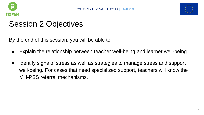



### Session 2 Objectives

By the end of this session, you will be able to:

- Explain the relationship between teacher well-being and learner well-being.
- Identify signs of stress as well as strategies to manage stress and support well-being. For cases that need specialized support, teachers will know the MH-PSS referral mechanisms.